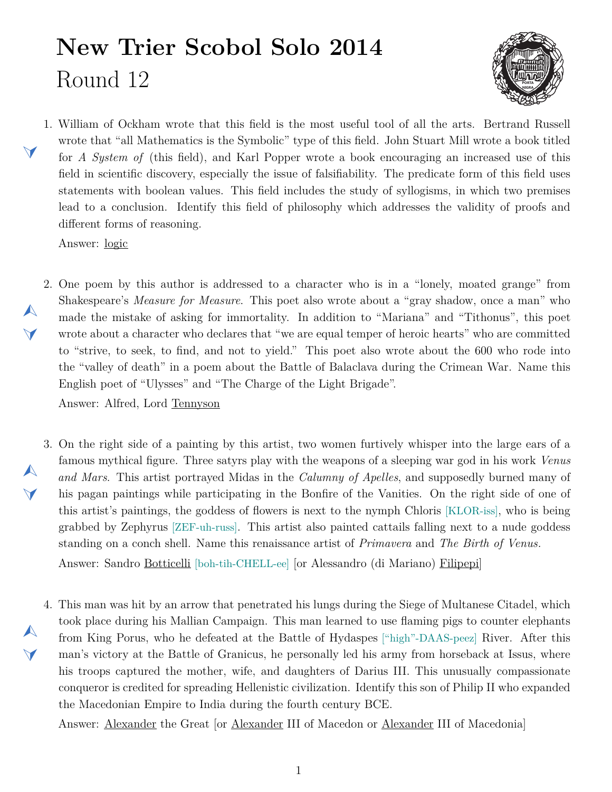## **New Trier Scobol Solo 2014** Round 12



<span id="page-0-1"></span>1. William of Ockham wrote that this field is the most useful tool of all the arts. Bertrand Russell wrote that "all Mathematics is the Symbolic" type of this field. John Stuart Mill wrote a book titled for *A System of* (this field), and Karl Popper wrote a book encouraging an increased use of this field in scientific discovery, especially the issue of falsifiability. The predicate form of this field uses statements with boolean values. This field includes the study of syllogisms, in which two premises lead to a conclusion. Identify this field of philosophy which addresses the validity of proofs and different forms of reasoning.

Answer: logic

 $\blacktriangleleft$ 

 $\blacktriangle$ 

 $\blacktriangledown$ 

 $\blacktriangle$ 

 $\blacktriangleleft$ 

 $\blacktriangledown$ 

<span id="page-0-0"></span>2. One poem by this author is addressed to a character who is in a "lonely, moated grange" from Shakespeare's *Measure for Measure*. This poet also wrote about a "gray shadow, once a man" who made the mistake of asking for immortality. In addition to "Mariana" and "Tithonus", this poet wrote about a character who declares that "we are equal temper of heroic hearts" who are committed to "strive, to seek, to find, and not to yield." This poet also wrote about the 600 who rode into the "valley of death" in a poem about the Battle of Balaclava during the Crimean War. Name this English poet of "Ulysses" and "The Charge of the Light Brigade".

Answer: Alfred, Lord Tennyson

- <span id="page-0-2"></span>3. On the right side of a painting by this artist, two women furtively whisper into the large ears of a famous mythical figure. Three satyrs play with the weapons of a sleeping war god in his work *Venus and Mars*. This artist portrayed Midas in the *Calumny of Apelles*, and supposedly burned many of his pagan paintings while participating in the Bonfire of the Vanities. On the right side of one of this artist's paintings, the goddess of flowers is next to the nymph Chloris [KLOR-iss], who is being grabbed by Zephyrus [ZEF-uh-russ]. This artist also painted cattails falling next to a nude goddess standing on a conch shell. Name this renaissance artist of *Primavera* and *The Birth of Venus.* Answer: Sandro Botticelli [boh-tih-CHELL-ee] [or Alessandro (di Mariano) Filipepi]
- <span id="page-0-3"></span>4. This man was hit by an arrow that penetrated his lungs during the Siege of Multanese Citadel, which  $\blacktriangle$ took place during his Mallian Campaign. This man learned to use flaming pigs to counter elephants from King Porus, who he defeated at the Battle of Hydaspes ["high"-DAAS-peez] River. After this man's victory at the Battle of Granicus, he personally led his army from horseback at Issus, where his troops captured the mother, wife, and daughters of Darius III. This unusually compassionate conqueror is credited for spreading Hellenistic civilization. Identify this son of Philip II who expanded the Macedonian Empire to India during the fourth century BCE.

Answer: Alexander the Great [or Alexander III of Macedon or Alexander III of Macedonia]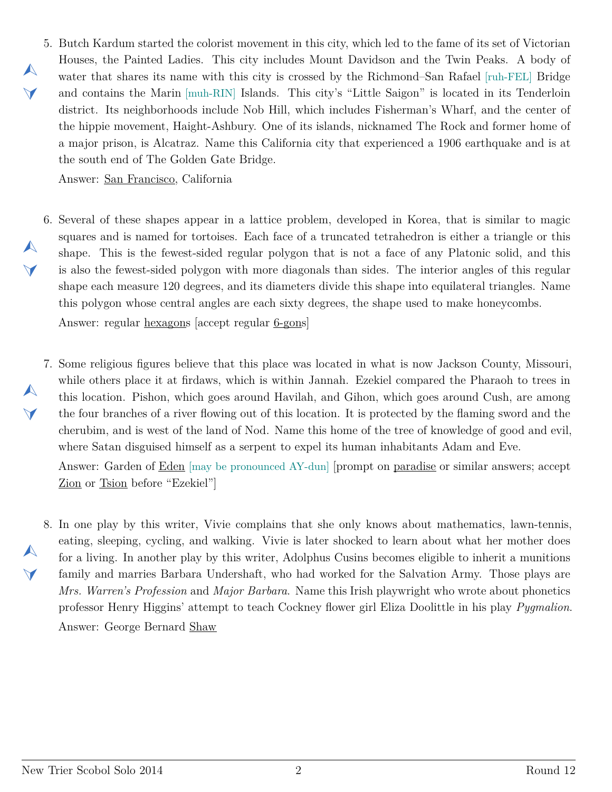<span id="page-1-0"></span>5. Butch Kardum started the colorist movement in this city, which led to the fame of its set of Victorian Houses, the Painted Ladies. This city includes Mount Davidson and the Twin Peaks. A body of water that shares its name with this city is crossed by the Richmond–San Rafael [ruh-FEL] Bridge and contains the Marin [muh-RIN] Islands. This city's "Little Saigon" is located in its Tenderloin district. Its neighborhoods include Nob Hill, which includes Fisherman's Wharf, and the center of the hippie movement, Haight-Ashbury. One of its islands, nicknamed The Rock and former home of a major prison, is Alcatraz. Name this California city that experienced a 1906 earthquake and is at the south end of The Golden Gate Bridge.

Answer: San Francisco, California

 $\blacktriangle$ 

 $\vee$ 

 $\blacktriangle$ 

 $\blacktriangledown$ 

 $\blacktriangle$ 

 $\blacktriangledown$ 

 $\blacktriangle$ 

 $\blacktriangledown$ 

<span id="page-1-1"></span>6. Several of these shapes appear in a lattice problem, developed in Korea, that is similar to magic squares and is named for tortoises. Each face of a truncated tetrahedron is either a triangle or this shape. This is the fewest-sided regular polygon that is not a face of any Platonic solid, and this is also the fewest-sided polygon with more diagonals than sides. The interior angles of this regular shape each measure 120 degrees, and its diameters divide this shape into equilateral triangles. Name this polygon whose central angles are each sixty degrees, the shape used to make honeycombs.

Answer: regular hexagons [accept regular 6-gons]

<span id="page-1-2"></span>7. Some religious figures believe that this place was located in what is now Jackson County, Missouri, while others place it at firdaws, which is within Jannah. Ezekiel compared the Pharaoh to trees in this location. Pishon, which goes around Havilah, and Gihon, which goes around Cush, are among the four branches of a river flowing out of this location. It is protected by the flaming sword and the cherubim, and is west of the land of Nod. Name this home of the tree of knowledge of good and evil, where Satan disguised himself as a serpent to expel its human inhabitants Adam and Eve.

Answer: Garden of Eden [may be pronounced AY-dun] [prompt on paradise or similar answers; accept Zion or Tsion before "Ezekiel"]

<span id="page-1-3"></span>8. In one play by this writer, Vivie complains that she only knows about mathematics, lawn-tennis, eating, sleeping, cycling, and walking. Vivie is later shocked to learn about what her mother does for a living. In another play by this writer, Adolphus Cusins becomes eligible to inherit a munitions family and marries Barbara Undershaft, who had worked for the Salvation Army. Those plays are *Mrs. Warren's Profession* and *Major Barbara*. Name this Irish playwright who wrote about phonetics professor Henry Higgins' attempt to teach Cockney flower girl Eliza Doolittle in his play *Pygmalion*. Answer: George Bernard Shaw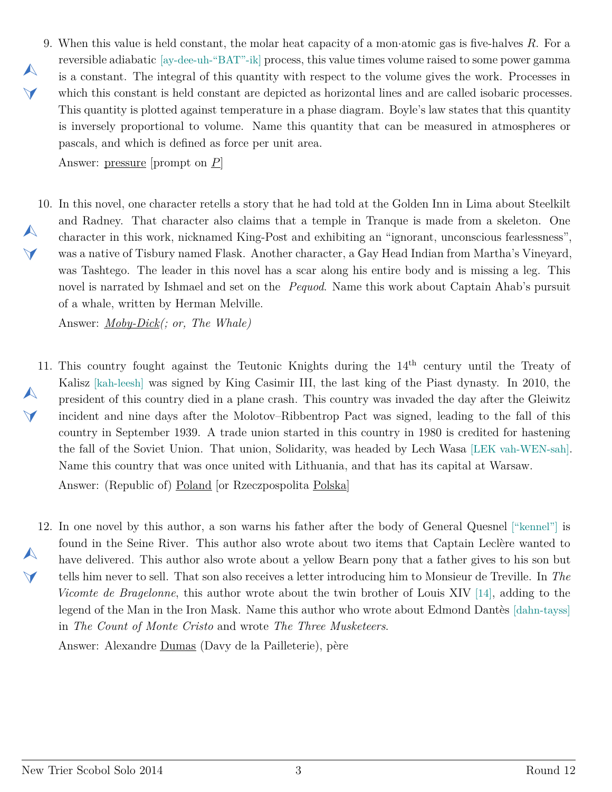<span id="page-2-0"></span>9. When this value is held constant, the molar heat capacity of a mon*·*atomic gas is five-halves *R*. For a reversible adiabatic [ay-dee-uh-"BAT"-ik] process, this value times volume raised to some power gamma is a constant. The integral of this quantity with respect to the volume gives the work. Processes in which this constant is held constant are depicted as horizontal lines and are called isobaric processes. This quantity is plotted against temperature in a phase diagram. Boyle's law states that this quantity is inversely proportional to volume. Name this quantity that can be measured in atmospheres or pascals, and which is defined as force per unit area.

Answer: pressure [prompt on *P*]

 $\blacktriangle$ 

 $\blacktriangleleft$ 

<span id="page-2-1"></span>10. In this novel, one character retells a story that he had told at the Golden Inn in Lima about Steelkilt  $\blacktriangle$  $\blacktriangleleft$ and Radney. That character also claims that a temple in Tranque is made from a skeleton. One character in this work, nicknamed King-Post and exhibiting an "ignorant, unconscious fearlessness", was a native of Tisbury named Flask. Another character, a Gay Head Indian from Martha's Vineyard, was Tashtego. The leader in this novel has a scar along his entire body and is missing a leg. This novel is narrated by Ishmael and set on the *Pequod*. Name this work about Captain Ahab's pursuit of a whale, written by Herman Melville.

Answer: *Moby-Dick(; or, The Whale)*

- <span id="page-2-2"></span>11. This country fought against the Teutonic Knights during the 14<sup>th</sup> century until the Treaty of  $\blacktriangle$  $\blacktriangledown$ Kalisz [kah-leesh] was signed by King Casimir III, the last king of the Piast dynasty. In 2010, the president of this country died in a plane crash. This country was invaded the day after the Gleiwitz incident and nine days after the Molotov–Ribbentrop Pact was signed, leading to the fall of this country in September 1939. A trade union started in this country in 1980 is credited for hastening the fall of the Soviet Union. That union, Solidarity, was headed by Lech Wasa [LEK vah-WEN-sah]. Name this country that was once united with Lithuania, and that has its capital at Warsaw. Answer: (Republic of) Poland [or Rzeczpospolita Polska]
- <span id="page-2-3"></span>12. In one novel by this author, a son warns his father after the body of General Quesnel ["kennel"] is  $\blacktriangle$  $\blacktriangledown$ found in the Seine River. This author also wrote about two items that Captain Leclère wanted to have delivered. This author also wrote about a yellow Bearn pony that a father gives to his son but tells him never to sell. That son also receives a letter introducing him to Monsieur de Treville. In *The Vicomte de Bragelonne*, this author wrote about the twin brother of Louis XIV [14], adding to the legend of the Man in the Iron Mask. Name this author who wrote about Edmond Dantès [dahn-tayss] in *The Count of Monte Cristo* and wrote *The Three Musketeers*.

Answer: Alexandre Dumas (Davy de la Pailleterie), père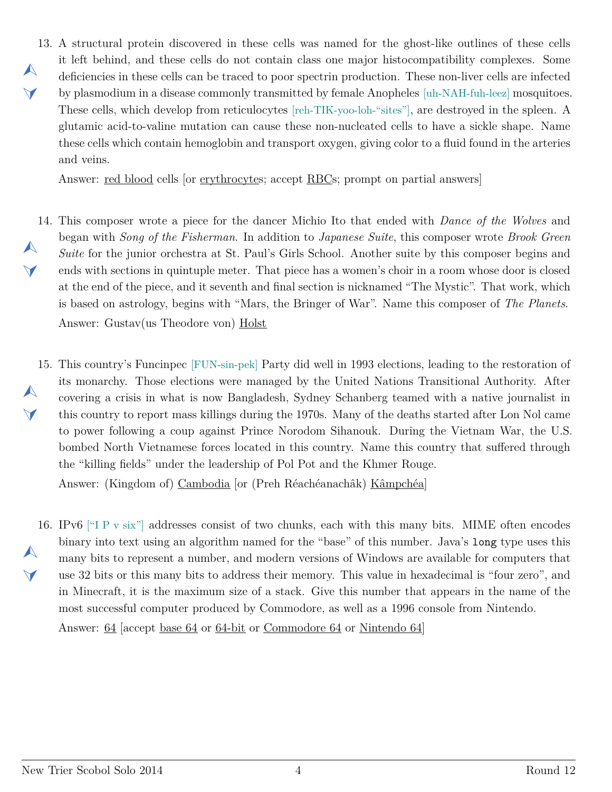<span id="page-3-0"></span>13. A structural protein discovered in these cells was named for the ghost-like outlines of these cells  $\blacktriangle$  $\blacktriangleleft$ it left behind, and these cells do not contain class one major histocompatibility complexes. Some deficiencies in these cells can be traced to poor spectrin production. These non-liver cells are infected by plasmodium in a disease commonly transmitted by female Anopheles [uh-NAH-fuh-leez] mosquitoes. These cells, which develop from reticulocytes [reh-TIK-yoo-loh-"sites"], are destroyed in the spleen. A glutamic acid-to-valine mutation can cause these non-nucleated cells to have a sickle shape. Name these cells which contain hemoglobin and transport oxygen, giving color to a fluid found in the arteries and veins.

Answer: red blood cells [or erythrocytes; accept RBCs; prompt on partial answers]

- <span id="page-3-1"></span>14. This composer wrote a piece for the dancer Michio Ito that ended with *Dance of the Wolves* and  $\blacktriangle$  $\blacktriangle$ began with *Song of the Fisherman*. In addition to *Japanese Suite*, this composer wrote *Brook Green Suite* for the junior orchestra at St. Paul's Girls School. Another suite by this composer begins and ends with sections in quintuple meter. That piece has a women's choir in a room whose door is closed at the end of the piece, and it seventh and final section is nicknamed "The Mystic". That work, which is based on astrology, begins with "Mars, the Bringer of War". Name this composer of *The Planets*. Answer: Gustav(us Theodore von) Holst
- <span id="page-3-2"></span>15. This country's Funcinpec [FUN-sin-pek] Party did well in 1993 elections, leading to the restoration of  $\blacktriangle$  $\vee$ its monarchy. Those elections were managed by the United Nations Transitional Authority. After covering a crisis in what is now Bangladesh, Sydney Schanberg teamed with a native journalist in this country to report mass killings during the 1970s. Many of the deaths started after Lon Nol came to power following a coup against Prince Norodom Sihanouk. During the Vietnam War, the U.S. bombed North Vietnamese forces located in this country. Name this country that suffered through the "killing fields" under the leadership of Pol Pot and the Khmer Rouge.

Answer: (Kingdom of) Cambodia [or (Preh Réachéanachâk) Kâmpchéa]

<span id="page-3-3"></span>16. IPv6 ["I P v six"] addresses consist of two chunks, each with this many bits. MIME often encodes  $\blacktriangle$  $\vee$ binary into text using an algorithm named for the "base" of this number. Java's long type uses this many bits to represent a number, and modern versions of Windows are available for computers that use 32 bits or this many bits to address their memory. This value in hexadecimal is "four zero", and in Minecraft, it is the maximum size of a stack. Give this number that appears in the name of the most successful computer produced by Commodore, as well as a 1996 console from Nintendo.

Answer: 64 [accept base 64 or 64-bit or Commodore 64 or Nintendo 64]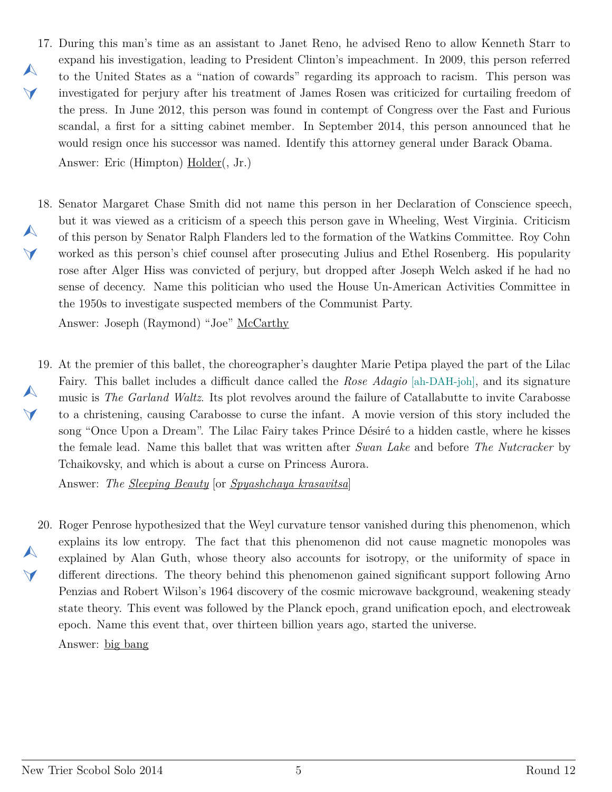- <span id="page-4-0"></span>17. During this man's time as an assistant to Janet Reno, he advised Reno to allow Kenneth Starr to  $\blacktriangle$  $\vee$ expand his investigation, leading to President Clinton's impeachment. In 2009, this person referred to the United States as a "nation of cowards" regarding its approach to racism. This person was investigated for perjury after his treatment of James Rosen was criticized for curtailing freedom of the press. In June 2012, this person was found in contempt of Congress over the Fast and Furious scandal, a first for a sitting cabinet member. In September 2014, this person announced that he would resign once his successor was named. Identify this attorney general under Barack Obama. Answer: Eric (Himpton) Holder(, Jr.)
- <span id="page-4-1"></span>18. Senator Margaret Chase Smith did not name this person in her Declaration of Conscience speech,  $\blacktriangle$  $\vee$ but it was viewed as a criticism of a speech this person gave in Wheeling, West Virginia. Criticism of this person by Senator Ralph Flanders led to the formation of the Watkins Committee. Roy Cohn worked as this person's chief counsel after prosecuting Julius and Ethel Rosenberg. His popularity rose after Alger Hiss was convicted of perjury, but dropped after Joseph Welch asked if he had no sense of decency. Name this politician who used the House Un-American Activities Committee in the 1950s to investigate suspected members of the Communist Party.

Answer: Joseph (Raymond) "Joe" McCarthy

<span id="page-4-2"></span>19. At the premier of this ballet, the choreographer's daughter Marie Petipa played the part of the Lilac  $\blacktriangle$  $\blacktriangledown$ Fairy. This ballet includes a difficult dance called the *Rose Adagio* [ah-DAH-joh], and its signature music is *The Garland Waltz*. Its plot revolves around the failure of Catallabutte to invite Carabosse to a christening, causing Carabosse to curse the infant. A movie version of this story included the song "Once Upon a Dream". The Lilac Fairy takes Prince Désiré to a hidden castle, where he kisses the female lead. Name this ballet that was written after *Swan Lake* and before *The Nutcracker* by Tchaikovsky, and which is about a curse on Princess Aurora.

Answer: *The Sleeping Beauty* [or *Spyashchaya krasavitsa*]

<span id="page-4-3"></span>20. Roger Penrose hypothesized that the Weyl curvature tensor vanished during this phenomenon, which  $\blacktriangle$  $\blacktriangleleft$ explains its low entropy. The fact that this phenomenon did not cause magnetic monopoles was explained by Alan Guth, whose theory also accounts for isotropy, or the uniformity of space in different directions. The theory behind this phenomenon gained significant support following Arno Penzias and Robert Wilson's 1964 discovery of the cosmic microwave background, weakening steady state theory. This event was followed by the Planck epoch, grand unification epoch, and electroweak epoch. Name this event that, over thirteen billion years ago, started the universe.

Answer: big bang